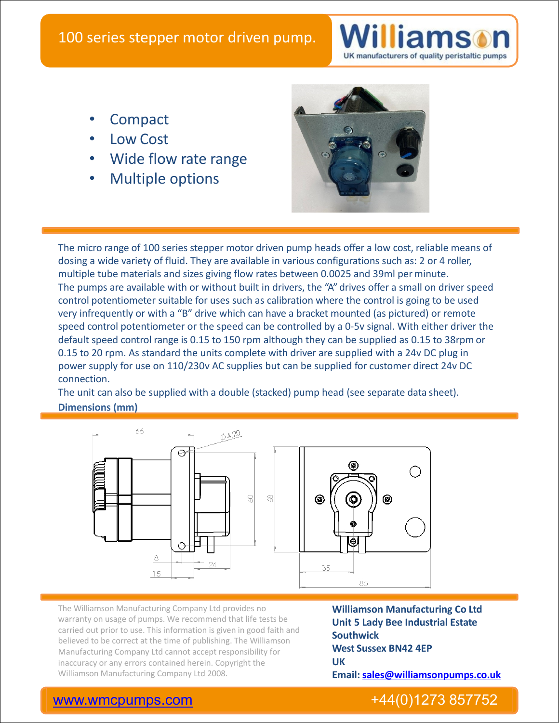

- **Compact**
- Low Cost
- Wide flow rate range
- Multiple options



The micro range of 100 series stepper motor driven pump heads offer a low cost, reliable means of dosing a wide variety of fluid. They are available in various configurations such as: 2 or 4 roller, multiple tube materials and sizes giving flow rates between 0.0025 and 39ml perminute. The pumps are available with or without built in drivers, the "A" drives offer a small on driver speed control potentiometer suitable for uses such as calibration where the control is going to be used very infrequently or with a "B" drive which can have a bracket mounted (as pictured) or remote speed control potentiometer or the speed can be controlled by a 0-5v signal. With either driver the default speed control range is 0.15 to 150 rpm although they can be supplied as 0.15 to 38rpmor 0.15 to 20 rpm. As standard the units complete with driver are supplied with a 24v DC plug in power supply for use on 110/230v AC supplies but can be supplied for customer direct 24v DC connection.

The unit can also be supplied with a double (stacked) pump head (see separate data sheet). **Dimensions (mm)**



The Williamson Manufacturing Company Ltd provides no **Williamson Manufacturing Co Ltd** warranty on usage of pumps. We recommend that life tests be carried out prior to use. This information is given in good faith and believed to be correct at the time of publishing. The Williamson Manufacturing Company Ltd cannot accept responsibility for **We**<br>inaccuracy or any errors contained herein Convright the **UK** inaccuracy or any errors contained herein. Copyright the The Williamson Manufacturing Company Ltd provides no<br>
warranty on usage of pumps. We recommend that life tests be<br>
carried out prior to use. This information is given in good faith and<br>
believed to be correct at the time o

**Unit 5 Lady Bee Industrial Estate Southwick West Sussex BN42 4EP UK Email: sales@williamsonpumps.co.uk**

## www.wmcpumps.com +44(0)1273 857752